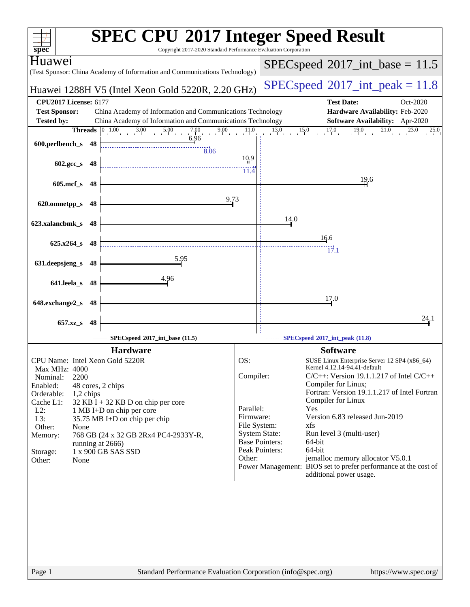|                                 | <b>SPEC CPU®2017 Integer Speed Result</b>                                                                      |                                      |                                                                                            |
|---------------------------------|----------------------------------------------------------------------------------------------------------------|--------------------------------------|--------------------------------------------------------------------------------------------|
| spec <sup>®</sup>               | Copyright 2017-2020 Standard Performance Evaluation Corporation                                                |                                      |                                                                                            |
| Huaweı                          | (Test Sponsor: China Academy of Information and Communications Technology)                                     |                                      | $SPEC speed^{\circ}2017\_int\_base = 11.5$                                                 |
|                                 | Huawei 1288H V5 (Intel Xeon Gold 5220R, 2.20 GHz)                                                              |                                      | $SPEC speed^{\circ}2017\_int\_peak = 11.8$                                                 |
| <b>CPU2017 License: 6177</b>    |                                                                                                                |                                      | <b>Test Date:</b><br>Oct-2020                                                              |
| <b>Test Sponsor:</b>            | China Academy of Information and Communications Technology                                                     |                                      | Hardware Availability: Feb-2020                                                            |
| <b>Tested by:</b>               | China Academy of Information and Communications Technology                                                     |                                      | <b>Software Availability:</b> Apr-2020                                                     |
|                                 | <b>Threads</b> $\begin{array}{ c c c c c } \hline 0 & 1.00 & 3.00 & 5.00 \ \hline \end{array}$<br>7.00<br>9.00 | $13.0$ $15.0$<br>11.0                | 17.0<br>19.0<br>$^{21,0}$<br>23.0<br>25.0                                                  |
| 600.perlbench_s 48              | 6.96                                                                                                           |                                      |                                                                                            |
|                                 | 8.06                                                                                                           |                                      |                                                                                            |
| $602.\text{gcc}\_\text{s}$ 48   |                                                                                                                | 10,9                                 |                                                                                            |
|                                 |                                                                                                                | 11.4                                 |                                                                                            |
| $605$ .mcf_s<br>-48             |                                                                                                                |                                      | 19.6                                                                                       |
|                                 |                                                                                                                |                                      |                                                                                            |
| 620.omnetpp_s<br>48             | 9.73                                                                                                           |                                      |                                                                                            |
|                                 |                                                                                                                | 14.0                                 |                                                                                            |
| 623.xalancbmk_s 48              |                                                                                                                |                                      |                                                                                            |
|                                 |                                                                                                                |                                      | 16.6                                                                                       |
| $625.x264_s$<br>48              |                                                                                                                |                                      | 17.1                                                                                       |
| 631.deepsjeng_s<br>48           | 5.95                                                                                                           |                                      |                                                                                            |
|                                 |                                                                                                                |                                      |                                                                                            |
| 641.leela_s 48                  | 4.96                                                                                                           |                                      |                                                                                            |
|                                 |                                                                                                                |                                      |                                                                                            |
| 648.exchange2_s                 | 48                                                                                                             |                                      | 17.0                                                                                       |
|                                 |                                                                                                                |                                      |                                                                                            |
| 657.xz_s<br>48                  |                                                                                                                |                                      | 24.1                                                                                       |
|                                 | SPECspeed®2017_int_base (11.5)                                                                                 |                                      | SPECspeed®2017_int_peak (11.8)                                                             |
|                                 | <b>Hardware</b>                                                                                                |                                      | <b>Software</b>                                                                            |
| CPU Name: Intel Xeon Gold 5220R |                                                                                                                | OS:                                  | SUSE Linux Enterprise Server 12 SP4 (x86_64)                                               |
| Max MHz: 4000                   |                                                                                                                |                                      | Kernel 4.12.14-94.41-default                                                               |
| Nominal:<br>2200                |                                                                                                                | Compiler:                            | $C/C++$ : Version 19.1.1.217 of Intel $C/C++$                                              |
| Enabled:<br>Orderable:          | 48 cores, 2 chips                                                                                              |                                      | Compiler for Linux;<br>Fortran: Version 19.1.1.217 of Intel Fortran                        |
| 1,2 chips<br>Cache L1:          | $32$ KB I + 32 KB D on chip per core                                                                           |                                      | Compiler for Linux                                                                         |
| $L2$ :                          | 1 MB I+D on chip per core                                                                                      | Parallel:                            | Yes                                                                                        |
| L3:                             | 35.75 MB I+D on chip per chip                                                                                  | Firmware:                            | Version 6.83 released Jun-2019                                                             |
| Other:<br>None                  |                                                                                                                | File System:<br><b>System State:</b> | xfs<br>Run level 3 (multi-user)                                                            |
| Memory:                         | 768 GB (24 x 32 GB 2Rx4 PC4-2933Y-R,<br>running at 2666)                                                       | <b>Base Pointers:</b>                | 64-bit                                                                                     |
| Storage:                        | 1 x 900 GB SAS SSD                                                                                             | Peak Pointers:                       | 64-bit                                                                                     |
| Other:<br>None                  |                                                                                                                | Other:                               | jemalloc memory allocator V5.0.1                                                           |
|                                 |                                                                                                                |                                      | Power Management: BIOS set to prefer performance at the cost of<br>additional power usage. |
|                                 |                                                                                                                |                                      |                                                                                            |
|                                 |                                                                                                                |                                      |                                                                                            |
|                                 |                                                                                                                |                                      |                                                                                            |
|                                 |                                                                                                                |                                      |                                                                                            |
|                                 |                                                                                                                |                                      |                                                                                            |
|                                 |                                                                                                                |                                      |                                                                                            |
|                                 |                                                                                                                |                                      |                                                                                            |
|                                 |                                                                                                                |                                      |                                                                                            |
|                                 |                                                                                                                |                                      |                                                                                            |
| Page 1                          | Standard Performance Evaluation Corporation (info@spec.org)                                                    |                                      | https://www.spec.org/                                                                      |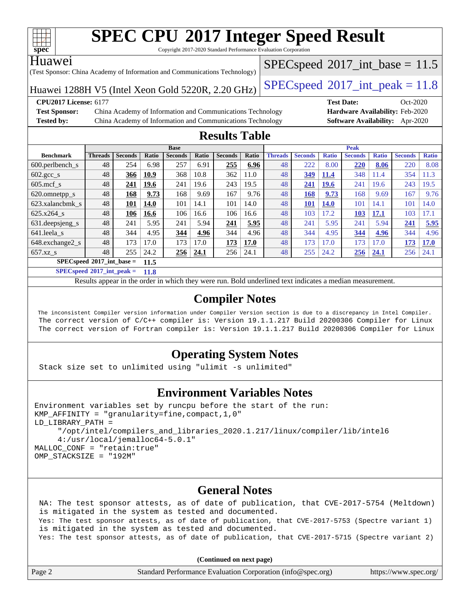

Copyright 2017-2020 Standard Performance Evaluation Corporation

#### Huawei

(Test Sponsor: China Academy of Information and Communications Technology)

 $SPECspeed^{\circ}2017\_int\_base = 11.5$  $SPECspeed^{\circ}2017\_int\_base = 11.5$ 

Huawei 1288H V5 (Intel Xeon Gold 5220R, 2.20 GHz)  $\left|$  [SPECspeed](http://www.spec.org/auto/cpu2017/Docs/result-fields.html#SPECspeed2017intpeak)®[2017\\_int\\_peak = 1](http://www.spec.org/auto/cpu2017/Docs/result-fields.html#SPECspeed2017intpeak)1.8

**[Test Sponsor:](http://www.spec.org/auto/cpu2017/Docs/result-fields.html#TestSponsor)** China Academy of Information and Communications Technology **[Hardware Availability:](http://www.spec.org/auto/cpu2017/Docs/result-fields.html#HardwareAvailability)** Feb-2020 **[Tested by:](http://www.spec.org/auto/cpu2017/Docs/result-fields.html#Testedby)** China Academy of Information and Communications Technology **[Software Availability:](http://www.spec.org/auto/cpu2017/Docs/result-fields.html#SoftwareAvailability)** Apr-2020

**[CPU2017 License:](http://www.spec.org/auto/cpu2017/Docs/result-fields.html#CPU2017License)** 6177 **[Test Date:](http://www.spec.org/auto/cpu2017/Docs/result-fields.html#TestDate)** Oct-2020

### **[Results Table](http://www.spec.org/auto/cpu2017/Docs/result-fields.html#ResultsTable)**

|                             |                |                |       | <b>Base</b>    |       |                |       | <b>Peak</b>    |                |              |                |              |                |              |
|-----------------------------|----------------|----------------|-------|----------------|-------|----------------|-------|----------------|----------------|--------------|----------------|--------------|----------------|--------------|
| <b>Benchmark</b>            | <b>Threads</b> | <b>Seconds</b> | Ratio | <b>Seconds</b> | Ratio | <b>Seconds</b> | Ratio | <b>Threads</b> | <b>Seconds</b> | <b>Ratio</b> | <b>Seconds</b> | <b>Ratio</b> | <b>Seconds</b> | <b>Ratio</b> |
| 600.perlbench s             | 48             | 254            | 6.98  | 257            | 6.91  | 255            | 6.96  | 48             | 222            | 8.00         | 220            | 8.06         | 220            | 8.08         |
| $602.\text{gcc}\_\text{s}$  | 48             | 366            | 10.9  | 368            | 10.8  | 362            | 11.0  | 48             | 349            | 11.4         | 348            | 11.4         | 354            | 11.3         |
| $605$ .mcf s                | 48             | 241            | 19.6  | 241            | 19.6  | 243            | 19.5  | 48             | 241            | <b>19.6</b>  | 241            | 19.6         | 243            | 19.5         |
| 620.omnetpp_s               | 48             | 168            | 9.73  | 168            | 9.69  | 167            | 9.76  | 48             | 168            | 9.73         | 168            | 9.69         | 167            | 9.76         |
| 623.xalancbmk s             | 48             | 101            | 14.0  | 101            | 14.1  | 101            | 14.0  | 48             | 101            | <b>14.0</b>  | 101            | 14.1         | 101            | 14.0         |
| 625.x264 s                  | 48             | 106            | 16.6  | 106            | 16.6  | 106            | 16.6  | 48             | 103            | 17.2         | 103            | 17.1         | 103            | 17.1         |
| 631.deepsjeng_s             | 48             | 241            | 5.95  | 241            | 5.94  | 241            | 5.95  | 48             | 241            | 5.95         | 241            | 5.94         | 241            | 5.95         |
| 641.leela s                 | 48             | 344            | 4.95  | 344            | 4.96  | 344            | 4.96  | 48             | 344            | 4.95         | 344            | 4.96         | 344            | 4.96         |
| 648.exchange2_s             | 48             | 173            | 17.0  | 173            | 17.0  | 173            | 17.0  | 48             | 173            | 17.0         | 173            | 17.0         | 173            | <b>17.0</b>  |
| $657.xz$ s                  | 48             | 255            | 24.2  | 256            | 24.1  | 256            | 24.1  | 48             | 255            | 24.2         | 256            | 24.1         | 256            | 24.1         |
| $SPECspeed*2017$ int base = |                |                | 11.5  |                |       |                |       |                |                |              |                |              |                |              |

**[SPECspeed](http://www.spec.org/auto/cpu2017/Docs/result-fields.html#SPECspeed2017intpeak)[2017\\_int\\_peak =](http://www.spec.org/auto/cpu2017/Docs/result-fields.html#SPECspeed2017intpeak) 11.8**

Results appear in the [order in which they were run.](http://www.spec.org/auto/cpu2017/Docs/result-fields.html#RunOrder) Bold underlined text [indicates a median measurement](http://www.spec.org/auto/cpu2017/Docs/result-fields.html#Median).

### **[Compiler Notes](http://www.spec.org/auto/cpu2017/Docs/result-fields.html#CompilerNotes)**

 The inconsistent Compiler version information under Compiler Version section is due to a discrepancy in Intel Compiler. The correct version of C/C++ compiler is: Version 19.1.1.217 Build 20200306 Compiler for Linux The correct version of Fortran compiler is: Version 19.1.1.217 Build 20200306 Compiler for Linux

### **[Operating System Notes](http://www.spec.org/auto/cpu2017/Docs/result-fields.html#OperatingSystemNotes)**

Stack size set to unlimited using "ulimit -s unlimited"

### **[Environment Variables Notes](http://www.spec.org/auto/cpu2017/Docs/result-fields.html#EnvironmentVariablesNotes)**

```
Environment variables set by runcpu before the start of the run:
KMP AFFINITY = "granularity=fine, compact, 1,0"
LD_LIBRARY_PATH =
      "/opt/intel/compilers_and_libraries_2020.1.217/linux/compiler/lib/intel6
      4:/usr/local/jemalloc64-5.0.1"
MALLOC_CONF = "retain:true"
OMP_STACKSIZE = "192M"
```
### **[General Notes](http://www.spec.org/auto/cpu2017/Docs/result-fields.html#GeneralNotes)**

 NA: The test sponsor attests, as of date of publication, that CVE-2017-5754 (Meltdown) is mitigated in the system as tested and documented. Yes: The test sponsor attests, as of date of publication, that CVE-2017-5753 (Spectre variant 1) is mitigated in the system as tested and documented. Yes: The test sponsor attests, as of date of publication, that CVE-2017-5715 (Spectre variant 2)

**(Continued on next page)**

|  | Page 2 | Standard Performance Evaluation Corporation (info@spec.org) | https://www.spec.org/ |
|--|--------|-------------------------------------------------------------|-----------------------|
|--|--------|-------------------------------------------------------------|-----------------------|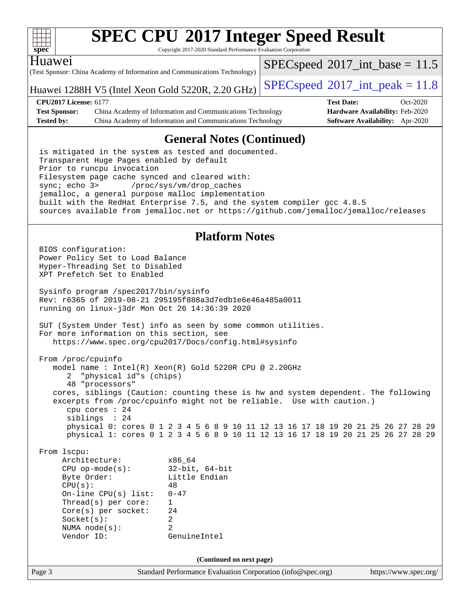

Copyright 2017-2020 Standard Performance Evaluation Corporation

#### Huawei

(Test Sponsor: China Academy of Information and Communications Technology)

Huawei 1288H V5 (Intel Xeon Gold 5220R, 2.20 GHz) [SPECspeed](http://www.spec.org/auto/cpu2017/Docs/result-fields.html#SPECspeed2017intpeak)<sup>®</sup>[2017\\_int\\_peak = 1](http://www.spec.org/auto/cpu2017/Docs/result-fields.html#SPECspeed2017intpeak)1.8

 $SPECspeed^{\circ}2017\_int\_base = 11.5$  $SPECspeed^{\circ}2017\_int\_base = 11.5$ 

**[CPU2017 License:](http://www.spec.org/auto/cpu2017/Docs/result-fields.html#CPU2017License)** 6177 **[Test Date:](http://www.spec.org/auto/cpu2017/Docs/result-fields.html#TestDate)** Oct-2020 **[Test Sponsor:](http://www.spec.org/auto/cpu2017/Docs/result-fields.html#TestSponsor)** China Academy of Information and Communications Technology **[Hardware Availability:](http://www.spec.org/auto/cpu2017/Docs/result-fields.html#HardwareAvailability)** Feb-2020 **[Tested by:](http://www.spec.org/auto/cpu2017/Docs/result-fields.html#Testedby)** China Academy of Information and Communications Technology **[Software Availability:](http://www.spec.org/auto/cpu2017/Docs/result-fields.html#SoftwareAvailability)** Apr-2020

### **[General Notes \(Continued\)](http://www.spec.org/auto/cpu2017/Docs/result-fields.html#GeneralNotes)**

 is mitigated in the system as tested and documented. Transparent Huge Pages enabled by default Prior to runcpu invocation Filesystem page cache synced and cleared with: sync; echo 3> /proc/sys/vm/drop\_caches jemalloc, a general purpose malloc implementation built with the RedHat Enterprise 7.5, and the system compiler gcc 4.8.5 sources available from jemalloc.net or <https://github.com/jemalloc/jemalloc/releases>

### **[Platform Notes](http://www.spec.org/auto/cpu2017/Docs/result-fields.html#PlatformNotes)**

Page 3 Standard Performance Evaluation Corporation [\(info@spec.org\)](mailto:info@spec.org) <https://www.spec.org/> BIOS configuration: Power Policy Set to Load Balance Hyper-Threading Set to Disabled XPT Prefetch Set to Enabled Sysinfo program /spec2017/bin/sysinfo Rev: r6365 of 2019-08-21 295195f888a3d7edb1e6e46a485a0011 running on linux-j3dr Mon Oct 26 14:36:39 2020 SUT (System Under Test) info as seen by some common utilities. For more information on this section, see <https://www.spec.org/cpu2017/Docs/config.html#sysinfo> From /proc/cpuinfo model name : Intel(R) Xeon(R) Gold 5220R CPU @ 2.20GHz 2 "physical id"s (chips) 48 "processors" cores, siblings (Caution: counting these is hw and system dependent. The following excerpts from /proc/cpuinfo might not be reliable. Use with caution.) cpu cores : 24 siblings : 24 physical 0: cores 0 1 2 3 4 5 6 8 9 10 11 12 13 16 17 18 19 20 21 25 26 27 28 29 physical 1: cores 0 1 2 3 4 5 6 8 9 10 11 12 13 16 17 18 19 20 21 25 26 27 28 29 From lscpu: Architecture: x86\_64 CPU op-mode(s): 32-bit, 64-bit Byte Order: Little Endian  $CPU(s):$  48 On-line CPU(s) list: 0-47 Thread(s) per core: 1 Core(s) per socket: 24 Socket(s): 2 NUMA node(s): 2 Vendor ID: GenuineIntel **(Continued on next page)**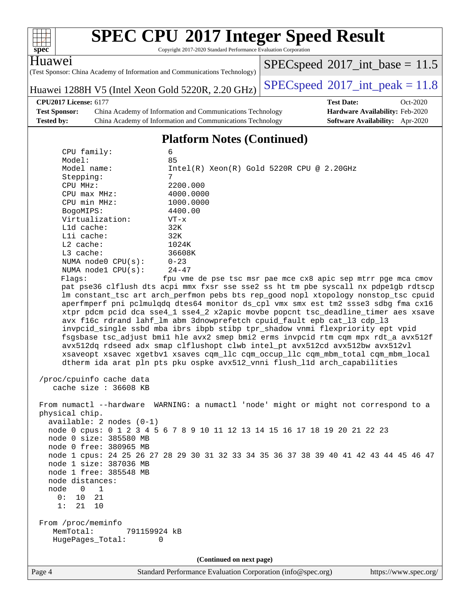| spec <sup>®</sup>                                                                                                                                                                                                                      |                                                                                                                                                                                                                                                                                                                                                                           | <b>SPEC CPU®2017 Integer Speed Result</b><br>Copyright 2017-2020 Standard Performance Evaluation Corporation                                                                                                                                                                                                                                                                                                                                                                                                                                                                                   |                                                                                                                                                                                                                                                                                                                                                                                                                                                                                                                                                                                                                                                                                                                                                                                  |
|----------------------------------------------------------------------------------------------------------------------------------------------------------------------------------------------------------------------------------------|---------------------------------------------------------------------------------------------------------------------------------------------------------------------------------------------------------------------------------------------------------------------------------------------------------------------------------------------------------------------------|------------------------------------------------------------------------------------------------------------------------------------------------------------------------------------------------------------------------------------------------------------------------------------------------------------------------------------------------------------------------------------------------------------------------------------------------------------------------------------------------------------------------------------------------------------------------------------------------|----------------------------------------------------------------------------------------------------------------------------------------------------------------------------------------------------------------------------------------------------------------------------------------------------------------------------------------------------------------------------------------------------------------------------------------------------------------------------------------------------------------------------------------------------------------------------------------------------------------------------------------------------------------------------------------------------------------------------------------------------------------------------------|
| Huawe <sub>1</sub>                                                                                                                                                                                                                     |                                                                                                                                                                                                                                                                                                                                                                           | (Test Sponsor: China Academy of Information and Communications Technology)                                                                                                                                                                                                                                                                                                                                                                                                                                                                                                                     | $SPEC speed^{\circ}2017\_int\_base = 11.5$                                                                                                                                                                                                                                                                                                                                                                                                                                                                                                                                                                                                                                                                                                                                       |
|                                                                                                                                                                                                                                        |                                                                                                                                                                                                                                                                                                                                                                           | Huawei 1288H V5 (Intel Xeon Gold 5220R, 2.20 GHz)                                                                                                                                                                                                                                                                                                                                                                                                                                                                                                                                              | $SPEC speed^{\circ}2017\_int\_peak = 11.8$                                                                                                                                                                                                                                                                                                                                                                                                                                                                                                                                                                                                                                                                                                                                       |
| <b>CPU2017 License: 6177</b><br><b>Test Sponsor:</b><br>Tested by:                                                                                                                                                                     |                                                                                                                                                                                                                                                                                                                                                                           | China Academy of Information and Communications Technology<br>China Academy of Information and Communications Technology                                                                                                                                                                                                                                                                                                                                                                                                                                                                       | <b>Test Date:</b><br>Oct-2020<br>Hardware Availability: Feb-2020<br>Software Availability: Apr-2020                                                                                                                                                                                                                                                                                                                                                                                                                                                                                                                                                                                                                                                                              |
|                                                                                                                                                                                                                                        |                                                                                                                                                                                                                                                                                                                                                                           | <b>Platform Notes (Continued)</b>                                                                                                                                                                                                                                                                                                                                                                                                                                                                                                                                                              |                                                                                                                                                                                                                                                                                                                                                                                                                                                                                                                                                                                                                                                                                                                                                                                  |
| Model:<br>Stepping:<br>CPU MHz:<br>BogoMIPS:<br>Lld cache:<br>Lli cache:<br>L2 cache:<br>L3 cache:<br>Flaqs:<br>physical chip.<br>node distances:<br>node<br>$\overline{0}$<br>0:<br>10<br>1:<br>21<br>From /proc/meminfo<br>MemTotal: | CPU family:<br>Model name:<br>CPU max MHz:<br>CPU min MHz:<br>Virtualization:<br>NUMA node0 CPU(s):<br>NUMA node1 CPU(s):<br>/proc/cpuinfo cache data<br>cache size : 36608 KB<br>$available: 2 nodes (0-1)$<br>node 0 size: 385580 MB<br>node 0 free: 380965 MB<br>node 1 size: 387036 MB<br>node 1 free: 385548 MB<br>1<br>21<br>10<br>791159924 kB<br>HugePages_Total: | 6<br>85<br>$Intel(R) Xeon(R) Gold 5220R CPU @ 2.20GHz$<br>7<br>2200.000<br>4000.0000<br>1000.0000<br>4400.00<br>$VT - x$<br>32K<br>32K<br>1024K<br>36608K<br>$0 - 23$<br>$24 - 47$<br>avx f16c rdrand lahf_lm abm 3dnowprefetch cpuid_fault epb cat_13 cdp_13<br>invpcid_single ssbd mba ibrs ibpb stibp tpr_shadow vnmi flexpriority ept vpid<br>avx512dq rdseed adx smap clflushopt clwb intel_pt avx512cd avx512bw avx512vl<br>dtherm ida arat pln pts pku ospke avx512_vnni flush_lld arch_capabilities<br>node 0 cpus: 0 1 2 3 4 5 6 7 8 9 10 11 12 13 14 15 16 17 18 19 20 21 22 23<br>0 | fpu vme de pse tsc msr pae mce cx8 apic sep mtrr pge mca cmov<br>pat pse36 clflush dts acpi mmx fxsr sse sse2 ss ht tm pbe syscall nx pdpe1gb rdtscp<br>lm constant_tsc art arch_perfmon pebs bts rep_good nopl xtopology nonstop_tsc cpuid<br>aperfmperf pni pclmulqdq dtes64 monitor ds_cpl vmx smx est tm2 ssse3 sdbg fma cx16<br>xtpr pdcm pcid dca sse4_1 sse4_2 x2apic movbe popcnt tsc_deadline_timer aes xsave<br>fsgsbase tsc_adjust bmil hle avx2 smep bmi2 erms invpcid rtm cqm mpx rdt_a avx512f<br>xsaveopt xsavec xgetbvl xsaves cqm_llc cqm_occup_llc cqm_mbm_total cqm_mbm_local<br>From numactl --hardware WARNING: a numactl 'node' might or might not correspond to a<br>node 1 cpus: 24 25 26 27 28 29 30 31 32 33 34 35 36 37 38 39 40 41 42 43 44 45 46 47 |
| Page 4                                                                                                                                                                                                                                 |                                                                                                                                                                                                                                                                                                                                                                           | (Continued on next page)<br>Standard Performance Evaluation Corporation (info@spec.org)                                                                                                                                                                                                                                                                                                                                                                                                                                                                                                        | https://www.spec.org/                                                                                                                                                                                                                                                                                                                                                                                                                                                                                                                                                                                                                                                                                                                                                            |
|                                                                                                                                                                                                                                        |                                                                                                                                                                                                                                                                                                                                                                           |                                                                                                                                                                                                                                                                                                                                                                                                                                                                                                                                                                                                |                                                                                                                                                                                                                                                                                                                                                                                                                                                                                                                                                                                                                                                                                                                                                                                  |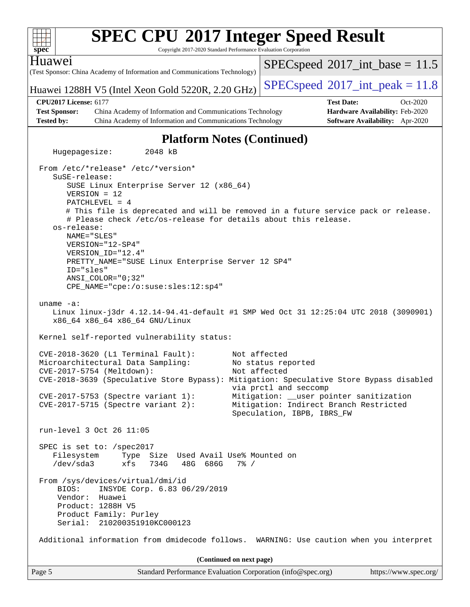| $spec^*$                     | <b>SPEC CPU®2017 Integer Speed Result</b><br>Copyright 2017-2020 Standard Performance Evaluation Corporation                                                                                                                                                                                                                                                                                                                                                           |                                                                                                                                                                                                |                                 |
|------------------------------|------------------------------------------------------------------------------------------------------------------------------------------------------------------------------------------------------------------------------------------------------------------------------------------------------------------------------------------------------------------------------------------------------------------------------------------------------------------------|------------------------------------------------------------------------------------------------------------------------------------------------------------------------------------------------|---------------------------------|
| Huawei                       | (Test Sponsor: China Academy of Information and Communications Technology)                                                                                                                                                                                                                                                                                                                                                                                             | $SPEC speed^{\circ}2017\_int\_base = 11.5$                                                                                                                                                     |                                 |
|                              | Huawei 1288H V5 (Intel Xeon Gold 5220R, 2.20 GHz)                                                                                                                                                                                                                                                                                                                                                                                                                      | $SPEC speed^{\circ}2017\_int\_peak = 11.8$                                                                                                                                                     |                                 |
| <b>CPU2017 License: 6177</b> |                                                                                                                                                                                                                                                                                                                                                                                                                                                                        | <b>Test Date:</b>                                                                                                                                                                              | Oct-2020                        |
| <b>Test Sponsor:</b>         | China Academy of Information and Communications Technology                                                                                                                                                                                                                                                                                                                                                                                                             |                                                                                                                                                                                                | Hardware Availability: Feb-2020 |
| <b>Tested by:</b>            | China Academy of Information and Communications Technology                                                                                                                                                                                                                                                                                                                                                                                                             |                                                                                                                                                                                                | Software Availability: Apr-2020 |
|                              | <b>Platform Notes (Continued)</b>                                                                                                                                                                                                                                                                                                                                                                                                                                      |                                                                                                                                                                                                |                                 |
| Hugepagesize:                | 2048 kB                                                                                                                                                                                                                                                                                                                                                                                                                                                                |                                                                                                                                                                                                |                                 |
| SuSE-release:<br>os-release: | From /etc/*release* /etc/*version*<br>SUSE Linux Enterprise Server 12 (x86_64)<br>$VERSION = 12$<br>PATCHLEVEL = 4<br># This file is deprecated and will be removed in a future service pack or release.<br># Please check /etc/os-release for details about this release.<br>NAME="SLES"<br>VERSION="12-SP4"<br>VERSION_ID="12.4"<br>PRETTY_NAME="SUSE Linux Enterprise Server 12 SP4"<br>ID="sles"<br>$ANSI$ _COLOR=" $0:32$ "<br>CPE_NAME="cpe:/o:suse:sles:12:sp4" |                                                                                                                                                                                                |                                 |
| $uname -a$ :                 | Linux linux-j3dr 4.12.14-94.41-default #1 SMP Wed Oct 31 12:25:04 UTC 2018 (3090901)<br>x86_64 x86_64 x86_64 GNU/Linux                                                                                                                                                                                                                                                                                                                                                 |                                                                                                                                                                                                |                                 |
|                              | Kernel self-reported vulnerability status:                                                                                                                                                                                                                                                                                                                                                                                                                             |                                                                                                                                                                                                |                                 |
|                              | CVE-2018-3620 (L1 Terminal Fault):<br>Microarchitectural Data Sampling:<br>CVE-2017-5754 (Meltdown):<br>CVE-2018-3639 (Speculative Store Bypass): Mitigation: Speculative Store Bypass disabled<br>CVE-2017-5753 (Spectre variant 1):<br>$CVE-2017-5715$ (Spectre variant 2):                                                                                                                                                                                          | Not affected<br>No status reported<br>Not affected<br>via prctl and seccomp<br>Mitigation: __user pointer sanitization<br>Mitigation: Indirect Branch Restricted<br>Speculation, IBPB, IBRS_FW |                                 |
|                              | run-level 3 Oct 26 11:05                                                                                                                                                                                                                                                                                                                                                                                                                                               |                                                                                                                                                                                                |                                 |
|                              | SPEC is set to: /spec2017<br>Filesystem<br>Type Size Used Avail Use% Mounted on<br>/dev/sda3<br>xfs<br>734G<br>48G 686G<br>$7\frac{6}{9}$ /                                                                                                                                                                                                                                                                                                                            |                                                                                                                                                                                                |                                 |
| BIOS:<br>Vendor:             | From /sys/devices/virtual/dmi/id<br>INSYDE Corp. 6.83 06/29/2019<br>Huawei<br>Product: 1288H V5<br>Product Family: Purley<br>Serial: 210200351910KC000123                                                                                                                                                                                                                                                                                                              |                                                                                                                                                                                                |                                 |
|                              | Additional information from dmidecode follows. WARNING: Use caution when you interpret                                                                                                                                                                                                                                                                                                                                                                                 |                                                                                                                                                                                                |                                 |
|                              | (Continued on next page)                                                                                                                                                                                                                                                                                                                                                                                                                                               |                                                                                                                                                                                                |                                 |
| Page 5                       | Standard Performance Evaluation Corporation (info@spec.org)                                                                                                                                                                                                                                                                                                                                                                                                            |                                                                                                                                                                                                | https://www.spec.org/           |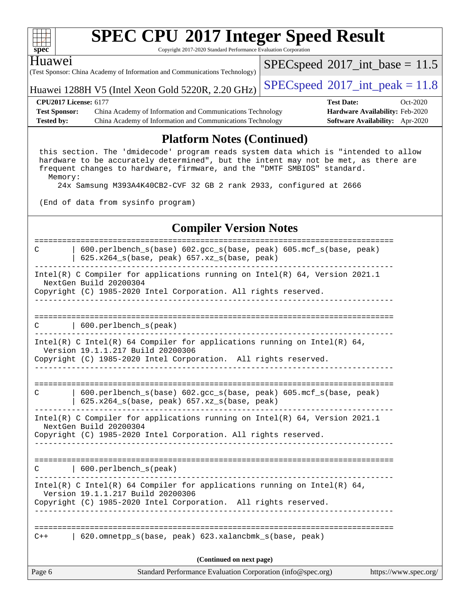| ч<br>ť<br>č |  |  |  |  |  |  |  |
|-------------|--|--|--|--|--|--|--|

Copyright 2017-2020 Standard Performance Evaluation Corporation

#### Huawei

(Test Sponsor: China Academy of Information and Communications Technology)

Huawei 1288H V5 (Intel Xeon Gold 5220R, 2.20 GHz) [SPECspeed](http://www.spec.org/auto/cpu2017/Docs/result-fields.html#SPECspeed2017intpeak)®2017\_int\_peak =  $11.8$ 

 $SPECspeed^{\circledcirc}2017\_int\_base = 11.5$  $SPECspeed^{\circledcirc}2017\_int\_base = 11.5$ 

**[CPU2017 License:](http://www.spec.org/auto/cpu2017/Docs/result-fields.html#CPU2017License)** 6177 **[Test Date:](http://www.spec.org/auto/cpu2017/Docs/result-fields.html#TestDate)** Oct-2020 **[Test Sponsor:](http://www.spec.org/auto/cpu2017/Docs/result-fields.html#TestSponsor)** China Academy of Information and Communications Technology **[Hardware Availability:](http://www.spec.org/auto/cpu2017/Docs/result-fields.html#HardwareAvailability)** Feb-2020 **[Tested by:](http://www.spec.org/auto/cpu2017/Docs/result-fields.html#Testedby)** China Academy of Information and Communications Technology **[Software Availability:](http://www.spec.org/auto/cpu2017/Docs/result-fields.html#SoftwareAvailability)** Apr-2020

### **[Platform Notes \(Continued\)](http://www.spec.org/auto/cpu2017/Docs/result-fields.html#PlatformNotes)**

 this section. The 'dmidecode' program reads system data which is "intended to allow hardware to be accurately determined", but the intent may not be met, as there are frequent changes to hardware, firmware, and the "DMTF SMBIOS" standard. Memory:

24x Samsung M393A4K40CB2-CVF 32 GB 2 rank 2933, configured at 2666

(End of data from sysinfo program)

#### **[Compiler Version Notes](http://www.spec.org/auto/cpu2017/Docs/result-fields.html#CompilerVersionNotes)**

Page 6 Standard Performance Evaluation Corporation [\(info@spec.org\)](mailto:info@spec.org) <https://www.spec.org/> ============================================================================== C | 600.perlbench\_s(base) 602.gcc\_s(base, peak) 605.mcf\_s(base, peak) | 625.x264\_s(base, peak) 657.xz\_s(base, peak) ------------------------------------------------------------------------------ Intel(R) C Compiler for applications running on Intel(R) 64, Version 2021.1 NextGen Build 20200304 Copyright (C) 1985-2020 Intel Corporation. All rights reserved. ------------------------------------------------------------------------------ ============================================================================== C | 600.perlbench\_s(peak) ------------------------------------------------------------------------------ Intel(R) C Intel(R) 64 Compiler for applications running on Intel(R) 64, Version 19.1.1.217 Build 20200306 Copyright (C) 1985-2020 Intel Corporation. All rights reserved. ------------------------------------------------------------------------------ ============================================================================== C | 600.perlbench\_s(base) 602.gcc\_s(base, peak) 605.mcf\_s(base, peak) | 625.x264\_s(base, peak) 657.xz\_s(base, peak) ------------------------------------------------------------------------------ Intel(R) C Compiler for applications running on Intel(R) 64, Version 2021.1 NextGen Build 20200304 Copyright (C) 1985-2020 Intel Corporation. All rights reserved. ------------------------------------------------------------------------------ ============================================================================== C | 600.perlbench\_s(peak) ------------------------------------------------------------------------------ Intel(R) C Intel(R) 64 Compiler for applications running on Intel(R)  $64$ , Version 19.1.1.217 Build 20200306 Copyright (C) 1985-2020 Intel Corporation. All rights reserved. ------------------------------------------------------------------------------ ============================================================================== C++ | 620.omnetpp\_s(base, peak) 623.xalancbmk\_s(base, peak) **(Continued on next page)**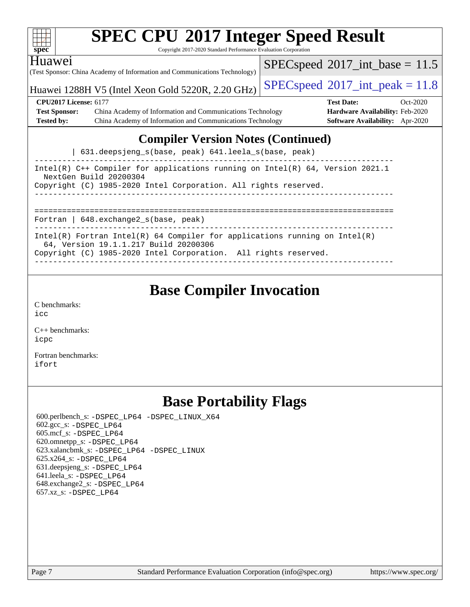| <b>SPEC CPU®2017 Integer Speed Result</b><br>$spec^*$<br>Copyright 2017-2020 Standard Performance Evaluation Corporation                                                                 |  |                                            |            |  |  |  |  |
|------------------------------------------------------------------------------------------------------------------------------------------------------------------------------------------|--|--------------------------------------------|------------|--|--|--|--|
| Huawei<br>(Test Sponsor: China Academy of Information and Communications Technology)                                                                                                     |  | $SPEC speed^{\circ}2017\_int\_base = 11.5$ |            |  |  |  |  |
| Huawei 1288H V5 (Intel Xeon Gold 5220R, 2.20 GHz)                                                                                                                                        |  | $SPEC speed^{\circ}2017\_int\_peak = 11.8$ |            |  |  |  |  |
| <b>CPU2017 License: 6177</b>                                                                                                                                                             |  | <b>Test Date:</b>                          | $Oct-2020$ |  |  |  |  |
| <b>Test Sponsor:</b><br>China Academy of Information and Communications Technology                                                                                                       |  | <b>Hardware Availability: Feb-2020</b>     |            |  |  |  |  |
| <b>Tested by:</b><br>China Academy of Information and Communications Technology                                                                                                          |  | Software Availability: Apr-2020            |            |  |  |  |  |
| <b>Compiler Version Notes (Continued)</b><br>631.deepsjeng_s(base, peak) 641.leela_s(base, peak)                                                                                         |  |                                            |            |  |  |  |  |
| Intel(R) $C++$ Compiler for applications running on Intel(R) 64, Version 2021.1<br>NextGen Build 20200304<br>Copyright (C) 1985-2020 Intel Corporation. All rights reserved.             |  |                                            |            |  |  |  |  |
| Fortran   648. exchange 2_s (base, peak)                                                                                                                                                 |  |                                            |            |  |  |  |  |
| $Intel(R)$ Fortran Intel(R) 64 Compiler for applications running on Intel(R)<br>64, Version 19.1.1.217 Build 20200306<br>Copyright (C) 1985-2020 Intel Corporation. All rights reserved. |  |                                            |            |  |  |  |  |

## **[Base Compiler Invocation](http://www.spec.org/auto/cpu2017/Docs/result-fields.html#BaseCompilerInvocation)**

[C benchmarks](http://www.spec.org/auto/cpu2017/Docs/result-fields.html#Cbenchmarks): [icc](http://www.spec.org/cpu2017/results/res2020q4/cpu2017-20201026-24275.flags.html#user_CCbase_intel_icc_66fc1ee009f7361af1fbd72ca7dcefbb700085f36577c54f309893dd4ec40d12360134090235512931783d35fd58c0460139e722d5067c5574d8eaf2b3e37e92)

[C++ benchmarks:](http://www.spec.org/auto/cpu2017/Docs/result-fields.html#CXXbenchmarks) [icpc](http://www.spec.org/cpu2017/results/res2020q4/cpu2017-20201026-24275.flags.html#user_CXXbase_intel_icpc_c510b6838c7f56d33e37e94d029a35b4a7bccf4766a728ee175e80a419847e808290a9b78be685c44ab727ea267ec2f070ec5dc83b407c0218cded6866a35d07)

[Fortran benchmarks](http://www.spec.org/auto/cpu2017/Docs/result-fields.html#Fortranbenchmarks): [ifort](http://www.spec.org/cpu2017/results/res2020q4/cpu2017-20201026-24275.flags.html#user_FCbase_intel_ifort_8111460550e3ca792625aed983ce982f94888b8b503583aa7ba2b8303487b4d8a21a13e7191a45c5fd58ff318f48f9492884d4413fa793fd88dd292cad7027ca)

## **[Base Portability Flags](http://www.spec.org/auto/cpu2017/Docs/result-fields.html#BasePortabilityFlags)**

 600.perlbench\_s: [-DSPEC\\_LP64](http://www.spec.org/cpu2017/results/res2020q4/cpu2017-20201026-24275.flags.html#b600.perlbench_s_basePORTABILITY_DSPEC_LP64) [-DSPEC\\_LINUX\\_X64](http://www.spec.org/cpu2017/results/res2020q4/cpu2017-20201026-24275.flags.html#b600.perlbench_s_baseCPORTABILITY_DSPEC_LINUX_X64) 602.gcc\_s: [-DSPEC\\_LP64](http://www.spec.org/cpu2017/results/res2020q4/cpu2017-20201026-24275.flags.html#suite_basePORTABILITY602_gcc_s_DSPEC_LP64) 605.mcf\_s: [-DSPEC\\_LP64](http://www.spec.org/cpu2017/results/res2020q4/cpu2017-20201026-24275.flags.html#suite_basePORTABILITY605_mcf_s_DSPEC_LP64) 620.omnetpp\_s: [-DSPEC\\_LP64](http://www.spec.org/cpu2017/results/res2020q4/cpu2017-20201026-24275.flags.html#suite_basePORTABILITY620_omnetpp_s_DSPEC_LP64) 623.xalancbmk\_s: [-DSPEC\\_LP64](http://www.spec.org/cpu2017/results/res2020q4/cpu2017-20201026-24275.flags.html#suite_basePORTABILITY623_xalancbmk_s_DSPEC_LP64) [-DSPEC\\_LINUX](http://www.spec.org/cpu2017/results/res2020q4/cpu2017-20201026-24275.flags.html#b623.xalancbmk_s_baseCXXPORTABILITY_DSPEC_LINUX) 625.x264\_s: [-DSPEC\\_LP64](http://www.spec.org/cpu2017/results/res2020q4/cpu2017-20201026-24275.flags.html#suite_basePORTABILITY625_x264_s_DSPEC_LP64) 631.deepsjeng\_s: [-DSPEC\\_LP64](http://www.spec.org/cpu2017/results/res2020q4/cpu2017-20201026-24275.flags.html#suite_basePORTABILITY631_deepsjeng_s_DSPEC_LP64) 641.leela\_s: [-DSPEC\\_LP64](http://www.spec.org/cpu2017/results/res2020q4/cpu2017-20201026-24275.flags.html#suite_basePORTABILITY641_leela_s_DSPEC_LP64) 648.exchange2\_s: [-DSPEC\\_LP64](http://www.spec.org/cpu2017/results/res2020q4/cpu2017-20201026-24275.flags.html#suite_basePORTABILITY648_exchange2_s_DSPEC_LP64) 657.xz\_s: [-DSPEC\\_LP64](http://www.spec.org/cpu2017/results/res2020q4/cpu2017-20201026-24275.flags.html#suite_basePORTABILITY657_xz_s_DSPEC_LP64)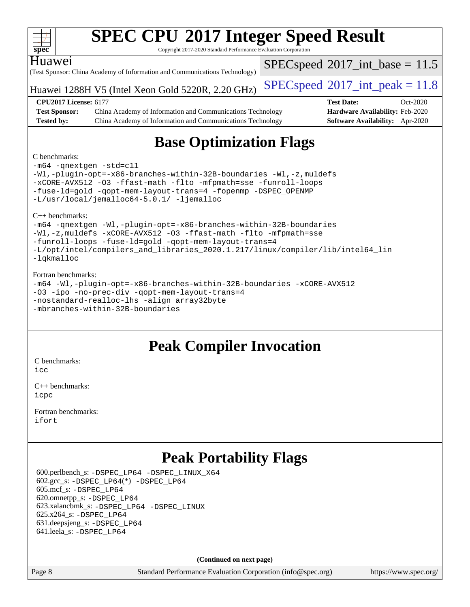|                              | <b>SPEC CPU®2017 Integer Speed Result</b>                                  |                                            |            |
|------------------------------|----------------------------------------------------------------------------|--------------------------------------------|------------|
| spec                         | Copyright 2017-2020 Standard Performance Evaluation Corporation            |                                            |            |
| Huawei                       |                                                                            | $SPEC speed^{\circ}2017\_int\_base = 11.5$ |            |
|                              | (Test Sponsor: China Academy of Information and Communications Technology) |                                            |            |
|                              |                                                                            | $SPEC speed^{\circ}2017\_int\_peak = 11.8$ |            |
|                              | Huawei 1288H V5 (Intel Xeon Gold 5220R, 2.20 GHz)                          |                                            |            |
| <b>CPU2017 License: 6177</b> |                                                                            | <b>Test Date:</b>                          | $Oct-2020$ |
| <b>Test Sponsor:</b>         | China Academy of Information and Communications Technology                 | <b>Hardware Availability: Feb-2020</b>     |            |
| <b>Tested by:</b>            | China Academy of Information and Communications Technology                 | <b>Software Availability:</b> Apr-2020     |            |
|                              | <b>Base Optimization Flags</b>                                             |                                            |            |
| C benchmarks:                |                                                                            |                                            |            |

#### [C benchmarks](http://www.spec.org/auto/cpu2017/Docs/result-fields.html#Cbenchmarks):

[-m64](http://www.spec.org/cpu2017/results/res2020q4/cpu2017-20201026-24275.flags.html#user_CCbase_m64-icc) [-qnextgen](http://www.spec.org/cpu2017/results/res2020q4/cpu2017-20201026-24275.flags.html#user_CCbase_f-qnextgen) [-std=c11](http://www.spec.org/cpu2017/results/res2020q4/cpu2017-20201026-24275.flags.html#user_CCbase_std-icc-std_0e1c27790398a4642dfca32ffe6c27b5796f9c2d2676156f2e42c9c44eaad0c049b1cdb667a270c34d979996257aeb8fc440bfb01818dbc9357bd9d174cb8524) [-Wl,-plugin-opt=-x86-branches-within-32B-boundaries](http://www.spec.org/cpu2017/results/res2020q4/cpu2017-20201026-24275.flags.html#user_CCbase_f-x86-branches-within-32B-boundaries_0098b4e4317ae60947b7b728078a624952a08ac37a3c797dfb4ffeb399e0c61a9dd0f2f44ce917e9361fb9076ccb15e7824594512dd315205382d84209e912f3) [-Wl,-z,muldefs](http://www.spec.org/cpu2017/results/res2020q4/cpu2017-20201026-24275.flags.html#user_CCbase_link_force_multiple1_b4cbdb97b34bdee9ceefcfe54f4c8ea74255f0b02a4b23e853cdb0e18eb4525ac79b5a88067c842dd0ee6996c24547a27a4b99331201badda8798ef8a743f577) [-xCORE-AVX512](http://www.spec.org/cpu2017/results/res2020q4/cpu2017-20201026-24275.flags.html#user_CCbase_f-xCORE-AVX512) [-O3](http://www.spec.org/cpu2017/results/res2020q4/cpu2017-20201026-24275.flags.html#user_CCbase_f-O3) [-ffast-math](http://www.spec.org/cpu2017/results/res2020q4/cpu2017-20201026-24275.flags.html#user_CCbase_f-ffast-math) [-flto](http://www.spec.org/cpu2017/results/res2020q4/cpu2017-20201026-24275.flags.html#user_CCbase_f-flto) [-mfpmath=sse](http://www.spec.org/cpu2017/results/res2020q4/cpu2017-20201026-24275.flags.html#user_CCbase_f-mfpmath_70eb8fac26bde974f8ab713bc9086c5621c0b8d2f6c86f38af0bd7062540daf19db5f3a066d8c6684be05d84c9b6322eb3b5be6619d967835195b93d6c02afa1) [-funroll-loops](http://www.spec.org/cpu2017/results/res2020q4/cpu2017-20201026-24275.flags.html#user_CCbase_f-funroll-loops) [-fuse-ld=gold](http://www.spec.org/cpu2017/results/res2020q4/cpu2017-20201026-24275.flags.html#user_CCbase_f-fuse-ld_920b3586e2b8c6e0748b9c84fa9b744736ba725a32cab14ad8f3d4ad28eecb2f59d1144823d2e17006539a88734fe1fc08fc3035f7676166309105a78aaabc32) [-qopt-mem-layout-trans=4](http://www.spec.org/cpu2017/results/res2020q4/cpu2017-20201026-24275.flags.html#user_CCbase_f-qopt-mem-layout-trans_fa39e755916c150a61361b7846f310bcdf6f04e385ef281cadf3647acec3f0ae266d1a1d22d972a7087a248fd4e6ca390a3634700869573d231a252c784941a8) [-fopenmp](http://www.spec.org/cpu2017/results/res2020q4/cpu2017-20201026-24275.flags.html#user_CCbase_fopenmp_5aa2e47ce4f2ef030ba5d12d5a7a9c4e57167333d78243fcadb80b48d5abb78ff19333f8478e0b2a41e63049eb285965c145ccab7b93db7d0c4d59e4dc6f5591) [-DSPEC\\_OPENMP](http://www.spec.org/cpu2017/results/res2020q4/cpu2017-20201026-24275.flags.html#suite_CCbase_DSPEC_OPENMP) [-L/usr/local/jemalloc64-5.0.1/](http://www.spec.org/cpu2017/results/res2020q4/cpu2017-20201026-24275.flags.html#user_CCbase_jemalloc_link_path64_1_7ef78e948e26f16679f66279b8b3f63c04c9803b9e8787420a99cca8bda14a41adf28ce5417d152fa73cc6ac5779a3e22f3d8249efa1649e07fa83494079cd98) [-ljemalloc](http://www.spec.org/cpu2017/results/res2020q4/cpu2017-20201026-24275.flags.html#user_CCbase_jemalloc_link_lib_d1249b907c500fa1c0672f44f562e3d0f79738ae9e3c4a9c376d49f265a04b9c99b167ecedbf6711b3085be911c67ff61f150a17b3472be731631ba4d0471706)

[C++ benchmarks](http://www.spec.org/auto/cpu2017/Docs/result-fields.html#CXXbenchmarks):

[-m64](http://www.spec.org/cpu2017/results/res2020q4/cpu2017-20201026-24275.flags.html#user_CXXbase_m64-icc) [-qnextgen](http://www.spec.org/cpu2017/results/res2020q4/cpu2017-20201026-24275.flags.html#user_CXXbase_f-qnextgen) [-Wl,-plugin-opt=-x86-branches-within-32B-boundaries](http://www.spec.org/cpu2017/results/res2020q4/cpu2017-20201026-24275.flags.html#user_CXXbase_f-x86-branches-within-32B-boundaries_0098b4e4317ae60947b7b728078a624952a08ac37a3c797dfb4ffeb399e0c61a9dd0f2f44ce917e9361fb9076ccb15e7824594512dd315205382d84209e912f3) [-Wl,-z,muldefs](http://www.spec.org/cpu2017/results/res2020q4/cpu2017-20201026-24275.flags.html#user_CXXbase_link_force_multiple1_b4cbdb97b34bdee9ceefcfe54f4c8ea74255f0b02a4b23e853cdb0e18eb4525ac79b5a88067c842dd0ee6996c24547a27a4b99331201badda8798ef8a743f577) [-xCORE-AVX512](http://www.spec.org/cpu2017/results/res2020q4/cpu2017-20201026-24275.flags.html#user_CXXbase_f-xCORE-AVX512) [-O3](http://www.spec.org/cpu2017/results/res2020q4/cpu2017-20201026-24275.flags.html#user_CXXbase_f-O3) [-ffast-math](http://www.spec.org/cpu2017/results/res2020q4/cpu2017-20201026-24275.flags.html#user_CXXbase_f-ffast-math) [-flto](http://www.spec.org/cpu2017/results/res2020q4/cpu2017-20201026-24275.flags.html#user_CXXbase_f-flto) [-mfpmath=sse](http://www.spec.org/cpu2017/results/res2020q4/cpu2017-20201026-24275.flags.html#user_CXXbase_f-mfpmath_70eb8fac26bde974f8ab713bc9086c5621c0b8d2f6c86f38af0bd7062540daf19db5f3a066d8c6684be05d84c9b6322eb3b5be6619d967835195b93d6c02afa1) [-funroll-loops](http://www.spec.org/cpu2017/results/res2020q4/cpu2017-20201026-24275.flags.html#user_CXXbase_f-funroll-loops) [-fuse-ld=gold](http://www.spec.org/cpu2017/results/res2020q4/cpu2017-20201026-24275.flags.html#user_CXXbase_f-fuse-ld_920b3586e2b8c6e0748b9c84fa9b744736ba725a32cab14ad8f3d4ad28eecb2f59d1144823d2e17006539a88734fe1fc08fc3035f7676166309105a78aaabc32) [-qopt-mem-layout-trans=4](http://www.spec.org/cpu2017/results/res2020q4/cpu2017-20201026-24275.flags.html#user_CXXbase_f-qopt-mem-layout-trans_fa39e755916c150a61361b7846f310bcdf6f04e385ef281cadf3647acec3f0ae266d1a1d22d972a7087a248fd4e6ca390a3634700869573d231a252c784941a8) [-L/opt/intel/compilers\\_and\\_libraries\\_2020.1.217/linux/compiler/lib/intel64\\_lin](http://www.spec.org/cpu2017/results/res2020q4/cpu2017-20201026-24275.flags.html#user_CXXbase_linkpath_57509d35624eba098eea36fbb56f49cc34a0b9ddc7c2cb8d353196fad1bb407d9701613333817233d0b91533f8d621e799f46d56eb6ab807a2c91bcd6c4cd0df) [-lqkmalloc](http://www.spec.org/cpu2017/results/res2020q4/cpu2017-20201026-24275.flags.html#user_CXXbase_qkmalloc_link_lib_79a818439969f771c6bc311cfd333c00fc099dad35c030f5aab9dda831713d2015205805422f83de8875488a2991c0a156aaa600e1f9138f8fc37004abc96dc5)

#### [Fortran benchmarks:](http://www.spec.org/auto/cpu2017/Docs/result-fields.html#Fortranbenchmarks)

[-m64](http://www.spec.org/cpu2017/results/res2020q4/cpu2017-20201026-24275.flags.html#user_FCbase_m64-icc) [-Wl,-plugin-opt=-x86-branches-within-32B-boundaries](http://www.spec.org/cpu2017/results/res2020q4/cpu2017-20201026-24275.flags.html#user_FCbase_f-x86-branches-within-32B-boundaries_0098b4e4317ae60947b7b728078a624952a08ac37a3c797dfb4ffeb399e0c61a9dd0f2f44ce917e9361fb9076ccb15e7824594512dd315205382d84209e912f3) [-xCORE-AVX512](http://www.spec.org/cpu2017/results/res2020q4/cpu2017-20201026-24275.flags.html#user_FCbase_f-xCORE-AVX512) [-O3](http://www.spec.org/cpu2017/results/res2020q4/cpu2017-20201026-24275.flags.html#user_FCbase_f-O3) [-ipo](http://www.spec.org/cpu2017/results/res2020q4/cpu2017-20201026-24275.flags.html#user_FCbase_f-ipo) [-no-prec-div](http://www.spec.org/cpu2017/results/res2020q4/cpu2017-20201026-24275.flags.html#user_FCbase_f-no-prec-div) [-qopt-mem-layout-trans=4](http://www.spec.org/cpu2017/results/res2020q4/cpu2017-20201026-24275.flags.html#user_FCbase_f-qopt-mem-layout-trans_fa39e755916c150a61361b7846f310bcdf6f04e385ef281cadf3647acec3f0ae266d1a1d22d972a7087a248fd4e6ca390a3634700869573d231a252c784941a8) [-nostandard-realloc-lhs](http://www.spec.org/cpu2017/results/res2020q4/cpu2017-20201026-24275.flags.html#user_FCbase_f_2003_std_realloc_82b4557e90729c0f113870c07e44d33d6f5a304b4f63d4c15d2d0f1fab99f5daaed73bdb9275d9ae411527f28b936061aa8b9c8f2d63842963b95c9dd6426b8a) [-align array32byte](http://www.spec.org/cpu2017/results/res2020q4/cpu2017-20201026-24275.flags.html#user_FCbase_align_array32byte_b982fe038af199962ba9a80c053b8342c548c85b40b8e86eb3cc33dee0d7986a4af373ac2d51c3f7cf710a18d62fdce2948f201cd044323541f22fc0fffc51b6) [-mbranches-within-32B-boundaries](http://www.spec.org/cpu2017/results/res2020q4/cpu2017-20201026-24275.flags.html#user_FCbase_f-mbranches-within-32B-boundaries)

### **[Peak Compiler Invocation](http://www.spec.org/auto/cpu2017/Docs/result-fields.html#PeakCompilerInvocation)**

[C benchmarks](http://www.spec.org/auto/cpu2017/Docs/result-fields.html#Cbenchmarks):

[icc](http://www.spec.org/cpu2017/results/res2020q4/cpu2017-20201026-24275.flags.html#user_CCpeak_intel_icc_66fc1ee009f7361af1fbd72ca7dcefbb700085f36577c54f309893dd4ec40d12360134090235512931783d35fd58c0460139e722d5067c5574d8eaf2b3e37e92)

[C++ benchmarks:](http://www.spec.org/auto/cpu2017/Docs/result-fields.html#CXXbenchmarks) [icpc](http://www.spec.org/cpu2017/results/res2020q4/cpu2017-20201026-24275.flags.html#user_CXXpeak_intel_icpc_c510b6838c7f56d33e37e94d029a35b4a7bccf4766a728ee175e80a419847e808290a9b78be685c44ab727ea267ec2f070ec5dc83b407c0218cded6866a35d07)

[Fortran benchmarks](http://www.spec.org/auto/cpu2017/Docs/result-fields.html#Fortranbenchmarks): [ifort](http://www.spec.org/cpu2017/results/res2020q4/cpu2017-20201026-24275.flags.html#user_FCpeak_intel_ifort_8111460550e3ca792625aed983ce982f94888b8b503583aa7ba2b8303487b4d8a21a13e7191a45c5fd58ff318f48f9492884d4413fa793fd88dd292cad7027ca)

## **[Peak Portability Flags](http://www.spec.org/auto/cpu2017/Docs/result-fields.html#PeakPortabilityFlags)**

 600.perlbench\_s: [-DSPEC\\_LP64](http://www.spec.org/cpu2017/results/res2020q4/cpu2017-20201026-24275.flags.html#b600.perlbench_s_peakPORTABILITY_DSPEC_LP64) [-DSPEC\\_LINUX\\_X64](http://www.spec.org/cpu2017/results/res2020q4/cpu2017-20201026-24275.flags.html#b600.perlbench_s_peakCPORTABILITY_DSPEC_LINUX_X64)  $602.\text{gcc}\$ :  $-DSPEC\_LP64(*) -DSPEC\_LP64$  605.mcf\_s: [-DSPEC\\_LP64](http://www.spec.org/cpu2017/results/res2020q4/cpu2017-20201026-24275.flags.html#suite_peakPORTABILITY605_mcf_s_DSPEC_LP64) 620.omnetpp\_s: [-DSPEC\\_LP64](http://www.spec.org/cpu2017/results/res2020q4/cpu2017-20201026-24275.flags.html#suite_peakPORTABILITY620_omnetpp_s_DSPEC_LP64) 623.xalancbmk\_s: [-DSPEC\\_LP64](http://www.spec.org/cpu2017/results/res2020q4/cpu2017-20201026-24275.flags.html#suite_peakPORTABILITY623_xalancbmk_s_DSPEC_LP64) [-DSPEC\\_LINUX](http://www.spec.org/cpu2017/results/res2020q4/cpu2017-20201026-24275.flags.html#b623.xalancbmk_s_peakCXXPORTABILITY_DSPEC_LINUX) 625.x264\_s: [-DSPEC\\_LP64](http://www.spec.org/cpu2017/results/res2020q4/cpu2017-20201026-24275.flags.html#suite_peakPORTABILITY625_x264_s_DSPEC_LP64) 631.deepsjeng\_s: [-DSPEC\\_LP64](http://www.spec.org/cpu2017/results/res2020q4/cpu2017-20201026-24275.flags.html#suite_peakPORTABILITY631_deepsjeng_s_DSPEC_LP64) 641.leela\_s: [-DSPEC\\_LP64](http://www.spec.org/cpu2017/results/res2020q4/cpu2017-20201026-24275.flags.html#suite_peakPORTABILITY641_leela_s_DSPEC_LP64)

**(Continued on next page)**

Page 8 Standard Performance Evaluation Corporation [\(info@spec.org\)](mailto:info@spec.org) <https://www.spec.org/>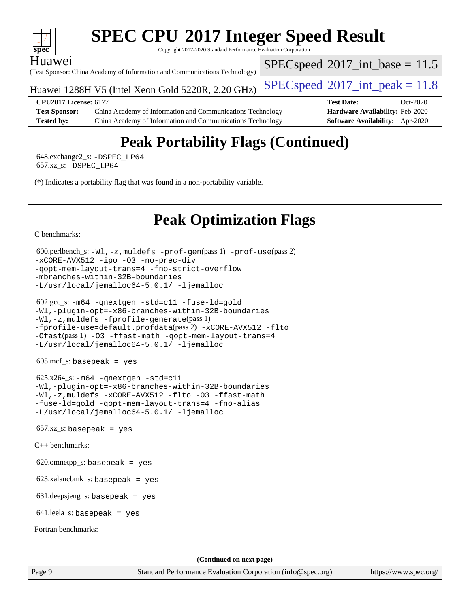

Copyright 2017-2020 Standard Performance Evaluation Corporation

#### Huawei

(Test Sponsor: China Academy of Information and Communications Technology)

Huawei 1288H V5 (Intel Xeon Gold 5220R, 2.20 GHz)  $\left|$  [SPECspeed](http://www.spec.org/auto/cpu2017/Docs/result-fields.html#SPECspeed2017intpeak)®[2017\\_int\\_peak = 1](http://www.spec.org/auto/cpu2017/Docs/result-fields.html#SPECspeed2017intpeak)1.8

 $SPECspeed^{\circ}2017\_int\_base = 11.5$  $SPECspeed^{\circ}2017\_int\_base = 11.5$ 

**[CPU2017 License:](http://www.spec.org/auto/cpu2017/Docs/result-fields.html#CPU2017License)** 6177 **[Test Date:](http://www.spec.org/auto/cpu2017/Docs/result-fields.html#TestDate)** Oct-2020 **[Test Sponsor:](http://www.spec.org/auto/cpu2017/Docs/result-fields.html#TestSponsor)** China Academy of Information and Communications Technology **[Hardware Availability:](http://www.spec.org/auto/cpu2017/Docs/result-fields.html#HardwareAvailability)** Feb-2020 **[Tested by:](http://www.spec.org/auto/cpu2017/Docs/result-fields.html#Testedby)** China Academy of Information and Communications Technology **[Software Availability:](http://www.spec.org/auto/cpu2017/Docs/result-fields.html#SoftwareAvailability)** Apr-2020

# **[Peak Portability Flags \(Continued\)](http://www.spec.org/auto/cpu2017/Docs/result-fields.html#PeakPortabilityFlags)**

 648.exchange2\_s: [-DSPEC\\_LP64](http://www.spec.org/cpu2017/results/res2020q4/cpu2017-20201026-24275.flags.html#suite_peakPORTABILITY648_exchange2_s_DSPEC_LP64) 657.xz\_s: [-DSPEC\\_LP64](http://www.spec.org/cpu2017/results/res2020q4/cpu2017-20201026-24275.flags.html#suite_peakPORTABILITY657_xz_s_DSPEC_LP64)

(\*) Indicates a portability flag that was found in a non-portability variable.

# **[Peak Optimization Flags](http://www.spec.org/auto/cpu2017/Docs/result-fields.html#PeakOptimizationFlags)**

[C benchmarks](http://www.spec.org/auto/cpu2017/Docs/result-fields.html#Cbenchmarks):

```
 600.perlbench_s: -Wl,-z,muldefs -prof-gen(pass 1) -prof-use(pass 2)
-xCORE-AVX512 -ipo -O3 -no-prec-div
-qopt-mem-layout-trans=4 -fno-strict-overflow
-mbranches-within-32B-boundaries
-L/usr/local/jemalloc64-5.0.1/ -ljemalloc
```

```
 602.gcc_s: -m64 -qnextgen -std=c11 -fuse-ld=gold
-Wl,-plugin-opt=-x86-branches-within-32B-boundaries
-Wl,-z,muldefs -fprofile-generate(pass 1)
-fprofile-use=default.profdata(pass 2) -xCORE-AVX512 -flto
-Ofast(pass 1) -O3 -ffast-math -qopt-mem-layout-trans=4
-L/usr/local/jemalloc64-5.0.1/ -ljemalloc
```
605.mcf\_s: basepeak = yes

```
625.x264_s: -m64-qnextgen-std=c11
-Wl,-plugin-opt=-x86-branches-within-32B-boundaries
-Wl,-z,muldefs -xCORE-AVX512 -flto -O3 -ffast-math
-fuse-ld=gold -qopt-mem-layout-trans=4 -fno-alias
-L/usr/local/jemalloc64-5.0.1/ -ljemalloc
```
 $657.xz$ \_s: basepeak = yes

[C++ benchmarks:](http://www.spec.org/auto/cpu2017/Docs/result-fields.html#CXXbenchmarks)

620.omnetpp\_s: basepeak = yes

623.xalancbmk\_s: basepeak = yes

631.deepsjeng\_s: basepeak = yes

641.leela\_s: basepeak = yes

[Fortran benchmarks](http://www.spec.org/auto/cpu2017/Docs/result-fields.html#Fortranbenchmarks):

**(Continued on next page)**